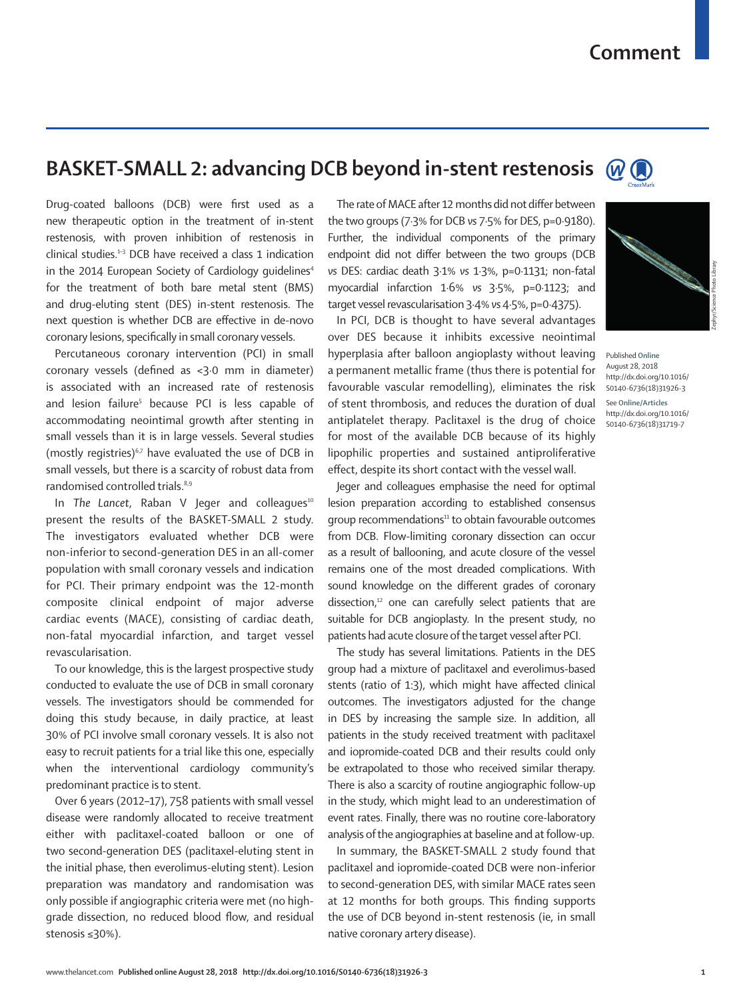## **BASKET-SMALL 2: advancing DCB beyond in-stent restenosis**  $\omega$

Drug-coated balloons (DCB) were first used as a new therapeutic option in the treatment of in-stent restenosis, with proven inhibition of restenosis in clinical studies.1–3 DCB have received a class 1 indication in the 2014 European Society of Cardiology quidelines<sup>4</sup> for the treatment of both bare metal stent (BMS) and drug-eluting stent (DES) in-stent restenosis. The next question is whether DCB are effective in de-novo coronary lesions, specifically in small coronary vessels.

Percutaneous coronary intervention (PCI) in small coronary vessels (defined as <3·0 mm in diameter) is associated with an increased rate of restenosis and lesion failure<sup>5</sup> because PCI is less capable of accommodating neointimal growth after stenting in small vessels than it is in large vessels. Several studies (mostly registries)<sup> $6,7$ </sup> have evaluated the use of DCB in small vessels, but there is a scarcity of robust data from randomised controlled trials.<sup>8,9</sup>

In *The Lancet*, Raban V Jeger and colleagues<sup>10</sup> present the results of the BASKET-SMALL 2 study. The investigators evaluated whether DCB were non-inferior to second-generation DES in an all-comer population with small coronary vessels and indication for PCI. Their primary endpoint was the 12-month composite clinical endpoint of major adverse cardiac events (MACE), consisting of cardiac death, non-fatal myocardial infarction, and target vessel revascularisation.

To our knowledge, this is the largest prospective study conducted to evaluate the use of DCB in small coronary vessels. The investigators should be commended for doing this study because, in daily practice, at least 30% of PCI involve small coronary vessels. It is also not easy to recruit patients for a trial like this one, especially when the interventional cardiology community's predominant practice is to stent.

Over 6 years (2012–17), 758 patients with small vessel disease were randomly allocated to receive treatment either with paclitaxel-coated balloon or one of two second-generation DES (paclitaxel-eluting stent in the initial phase, then everolimus-eluting stent). Lesion preparation was mandatory and randomisation was only possible if angiographic criteria were met (no highgrade dissection, no reduced blood flow, and residual stenosis ≤30%).

The rate of MACE after 12 months did not differ between the two groups (7·3% for DCB *vs* 7·5% for DES, p=0·9180). Further, the individual components of the primary endpoint did not differ between the two groups (DCB *vs* DES: cardiac death 3·1% *vs* 1·3%, p=0·1131; non-fatal myocardial infarction 1·6% *vs* 3·5%, p=0·1123; and target vessel revascularisation 3·4% *vs* 4·5%, p=0·4375).

In PCI, DCB is thought to have several advantages over DES because it inhibits excessive neointimal hyperplasia after balloon angioplasty without leaving a permanent metallic frame (thus there is potential for favourable vascular remodelling), eliminates the risk of stent thrombosis, and reduces the duration of dual antiplatelet therapy. Paclitaxel is the drug of choice for most of the available DCB because of its highly lipophilic properties and sustained antiproliferative effect, despite its short contact with the vessel wall.

Jeger and colleagues emphasise the need for optimal lesion preparation according to established consensus group recommendations<sup>11</sup> to obtain favourable outcomes from DCB. Flow-limiting coronary dissection can occur as a result of ballooning, and acute closure of the vessel remains one of the most dreaded complications. With sound knowledge on the different grades of coronary dissection, $12$  one can carefully select patients that are suitable for DCB angioplasty. In the present study, no patients had acute closure of the target vessel after PCI.

The study has several limitations. Patients in the DES group had a mixture of paclitaxel and everolimus-based stents (ratio of 1:3), which might have affected clinical outcomes. The investigators adjusted for the change in DES by increasing the sample size. In addition, all patients in the study received treatment with paclitaxel and iopromide-coated DCB and their results could only be extrapolated to those who received similar therapy. There is also a scarcity of routine angiographic follow-up in the study, which might lead to an underestimation of event rates. Finally, there was no routine core-laboratory analysis of the angiographies at baseline and at follow-up.

In summary, the BASKET-SMALL 2 study found that paclitaxel and iopromide-coated DCB were non-inferior to second-generation DES, with similar MACE rates seen at 12 months for both groups. This finding supports the use of DCB beyond in-stent restenosis (ie, in small native coronary artery disease).



Published **Online** August 28, 2018 http://dx.doi.org/10.1016/ S0140-6736(18)31926-3 See **Online/Articles** http://dx.doi.org/10.1016/ S0140-6736(18)31719-7